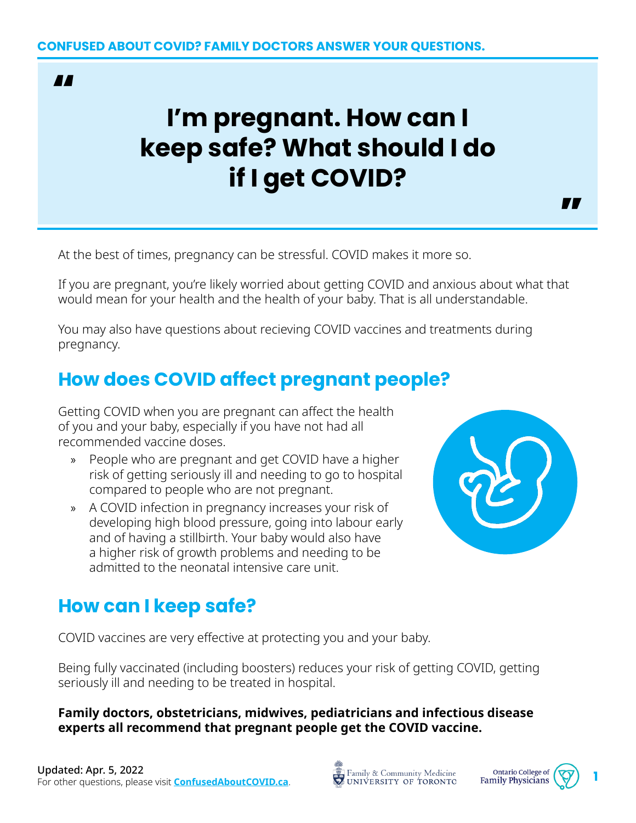#### **AA**

# **I'm pregnant. How can I keep safe? What should I do if I get COVID?**

**77** 

At the best of times, pregnancy can be stressful. COVID makes it more so.

If you are pregnant, you're likely worried about getting COVID and anxious about what that would mean for your health and the health of your baby. That is all understandable.

You may also have questions about recieving COVID vaccines and treatments during pregnancy.

### **How does COVID affect pregnant people?**

Getting COVID when you are pregnant can affect the health of you and your baby, especially if you have not had all recommended vaccine doses.

- » People who are pregnant and get COVID have a higher risk of getting seriously ill and needing to go to hospital compared to people who are not pregnant.
- » A COVID infection in pregnancy increases your risk of developing high blood pressure, going into labour early and of having a stillbirth. Your baby would also have a higher risk of growth problems and needing to be admitted to the neonatal intensive care unit.



#### **How can I keep safe?**

COVID vaccines are very effective at protecting you and your baby.

Being fully vaccinated (including boosters) reduces your risk of getting COVID, getting seriously ill and needing to be treated in hospital.

**Family doctors, obstetricians, midwives, pediatricians and infectious disease experts all recommend that pregnant people get the COVID vaccine.**

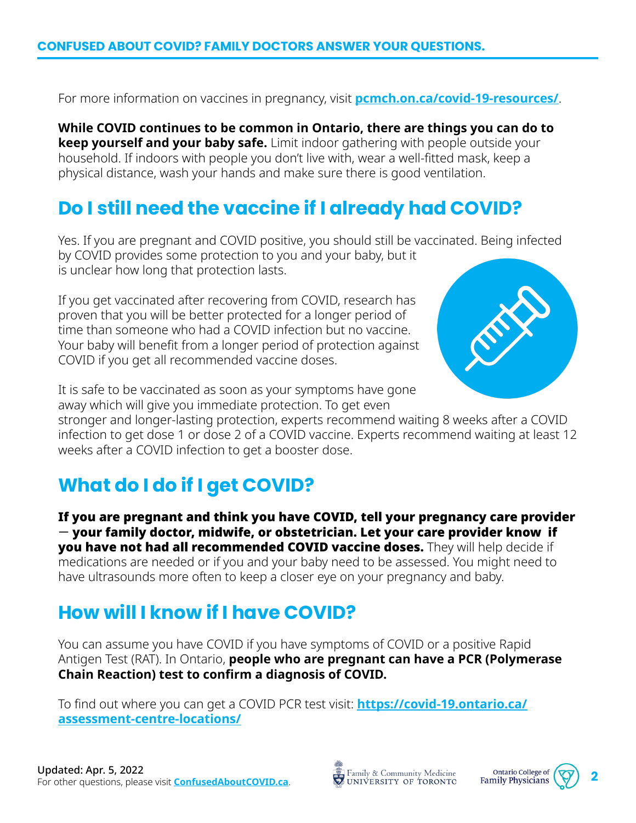For more information on vaccines in pregnancy, visit **[pcmch.on.ca/covid-19-resources/](https://www.pcmch.on.ca/covid-19-resources/)**.

**While COVID continues to be common in Ontario, there are things you can do to keep yourself and your baby safe.** Limit indoor gathering with people outside your household. If indoors with people you don't live with, wear a well-fitted mask, keep a physical distance, wash your hands and make sure there is good ventilation.

### **Do I still need the vaccine if I already had COVID?**

Yes. If you are pregnant and COVID positive, you should still be vaccinated. Being infected by COVID provides some protection to you and your baby, but it is unclear how long that protection lasts.

If you get vaccinated after recovering from COVID, research has proven that you will be better protected for a longer period of time than someone who had a COVID infection but no vaccine. Your baby will benefit from a longer period of protection against COVID if you get all recommended vaccine doses.



It is safe to be vaccinated as soon as your symptoms have gone away which will give you immediate protection. To get even

stronger and longer-lasting protection, experts recommend waiting 8 weeks after a COVID infection to get dose 1 or dose 2 of a COVID vaccine. Experts recommend waiting at least 12 weeks after a COVID infection to get a booster dose.

# **What do I do if I get COVID?**

If you are pregnant and think you have COVID, tell your pregnancy care provider — your family doctor, midwife, or obstetrician. Let your care provider know if you have not had all recommended COVID vaccine doses. They will help decide if medications are needed or if you and your baby need to be assessed. You might need to have ultrasounds more often to keep a closer eye on your pregnancy and baby.

# **How will I know if I have COVID?**

You can assume you have COVID if you have symptoms of COVID or a positive Rapid Antigen Test (RAT). In Ontario, **people who are pregnant can have a PCR (Polymerase Chain Reaction) test to confirm a diagnosis of COVID.**

To find out where you can get a COVID PCR test visit: **[https://covid-19.ontario.ca/](https://covid-19.ontario.ca/assessment-centre-locations/) [assessment-centre-locations/](https://covid-19.ontario.ca/assessment-centre-locations/)**



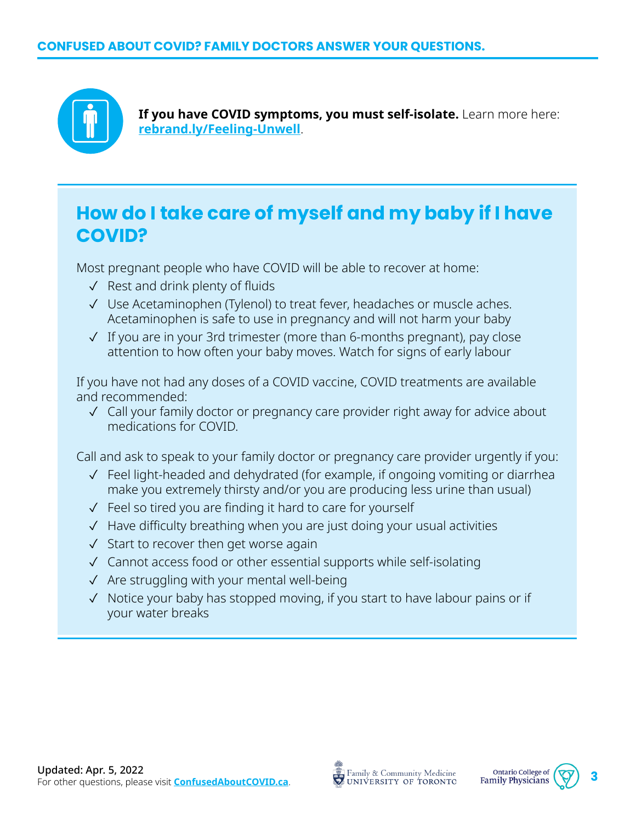

**If you have COVID symptoms, you must self-isolate.** Learn more here: **[rebrand.ly/Feeling-Unwell](http://rebrand.ly/Feeling-Unwell)**.

#### **How do I take care of myself and my baby if I have COVID?**

Most pregnant people who have COVID will be able to recover at home:

- ✓ Rest and drink plenty of fluids
- ✓ Use Acetaminophen (Tylenol) to treat fever, headaches or muscle aches. Acetaminophen is safe to use in pregnancy and will not harm your baby
- ✓ If you are in your 3rd trimester (more than 6-months pregnant), pay close attention to how often your baby moves. Watch for signs of early labour

If you have not had any doses of a COVID vaccine, COVID treatments are available and recommended:

✓ Call your family doctor or pregnancy care provider right away for advice about medications for COVID.

Call and ask to speak to your family doctor or pregnancy care provider urgently if you:

- ✓ Feel light-headed and dehydrated (for example, if ongoing vomiting or diarrhea make you extremely thirsty and/or you are producing less urine than usual)
- ✓ Feel so tired you are finding it hard to care for yourself
- ✓ Have difficulty breathing when you are just doing your usual activities
- ✓ Start to recover then get worse again
- ✓ Cannot access food or other essential supports while self-isolating
- ✓ Are struggling with your mental well-being
- ✓ Notice your baby has stopped moving, if you start to have labour pains or if your water breaks